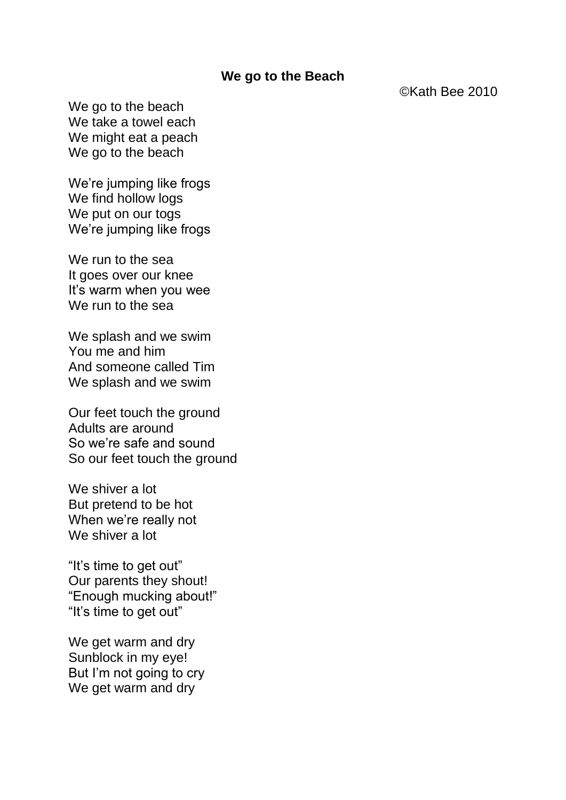## **We go to the Beach**

©Kath Bee 2010

We go to the beach We take a towel each We might eat a peach We go to the beach

We're jumping like frogs We find hollow logs We put on our togs We're jumping like frogs

We run to the sea It goes over our knee It's warm when you wee We run to the sea

We splash and we swim You me and him And someone called Tim We splash and we swim

Our feet touch the ground Adults are around So we're safe and sound So our feet touch the ground

We shiver a lot But pretend to be hot When we're really not We shiver a lot

"It's time to get out" Our parents they shout! "Enough mucking about!" "It's time to get out"

We get warm and dry Sunblock in my eye! But I'm not going to cry We get warm and dry